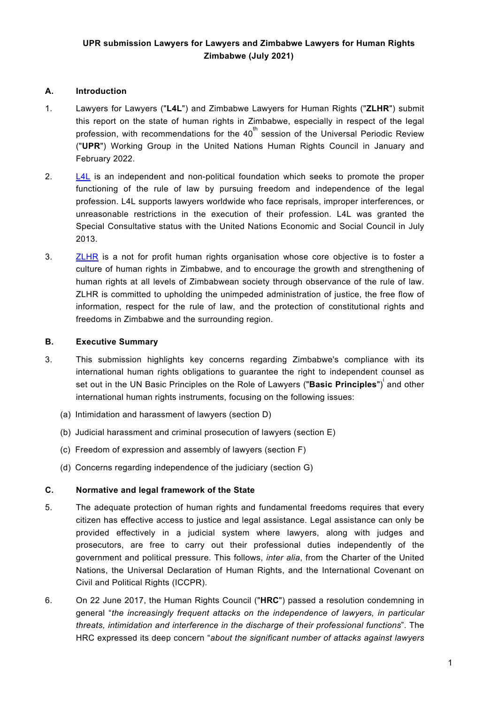## **A. Introduction**

- 1. Lawyers for Lawyers ("**L4L**") and Zimbabwe Lawyers for Human Rights ("**ZLHR**") submit this report on the state of human rights in Zimbabwe, especially in respect of the legal profession, with recommendations for the 40 $^{\rm th}$  session of the Universal Periodic Review ("**UPR**") Working Group in the United Nations Human Rights Council in January and February 2022.
- 2. [L4L](https://www.zlhr.org.zw/) is an independent and non-political foundation which seeks to promote the proper functioning of the rule of law by pursuing freedom and independence of the legal profession. L4L supports lawyers worldwide who face reprisals, improper interferences, or unreasonable restrictions in the execution of their profession. L4L was granted the Special Consultative status with the United Nations Economic and Social Council in July 2013.
- 3. [ZLHR](https://www.zlhr.org.zw/) is <sup>a</sup> not for profit human rights organisation whose core objective is to foster <sup>a</sup> culture of human rights in Zimbabwe, and to encourage the growth and strengthening of human rights at all levels of Zimbabwean society through observance of the rule of law. ZLHR is committed to upholding the unimpeded administration of justice, the free flow of information, respect for the rule of law, and the protection of constitutional rights and freedoms in Zimbabwe and the surrounding region.

#### **B. Executive Summary**

- 3. This submission highlights key concerns regarding Zimbabwe's compliance with its international human rights obligations to guarantee the right to independent counsel as set out in the UN Basic Principles on the Role of Lawyers ("**Basic Principles**") i and other international human rights instruments, focusing on the following issues:
	- (a) Intimidation and harassment of lawyers (section D)
	- (b) Judicial harassment and criminal prosecution of lawyers (section E)
	- (c) Freedom of expression and assembly of lawyers (section F)
	- (d) Concerns regarding independence of the judiciary (section G)

## **C. Normative and legal framework of the State**

- 5. The adequate protection of human rights and fundamental freedoms requires that every citizen has effective access to justice and legal assistance. Legal assistance can only be provided effectively in <sup>a</sup> judicial system where lawyers, along with judges and prosecutors, are free to carry out their professional duties independently of the government and political pressure. This follows, *inter alia*, from the Charter of the United Nations, the Universal Declaration of Human Rights, and the International Covenant on Civil and Political Rights (ICCPR).
- 6. On 22 June 2017, the Human Rights Council ("**HRC**") passed <sup>a</sup> resolution condemning in general "*the increasingly frequent attacks on the independence of lawyers, in particular threats, intimidation and interference in the discharge of their professional functions*". The HRC expressed its deep concern "*about the significant number of attacks against lawyers*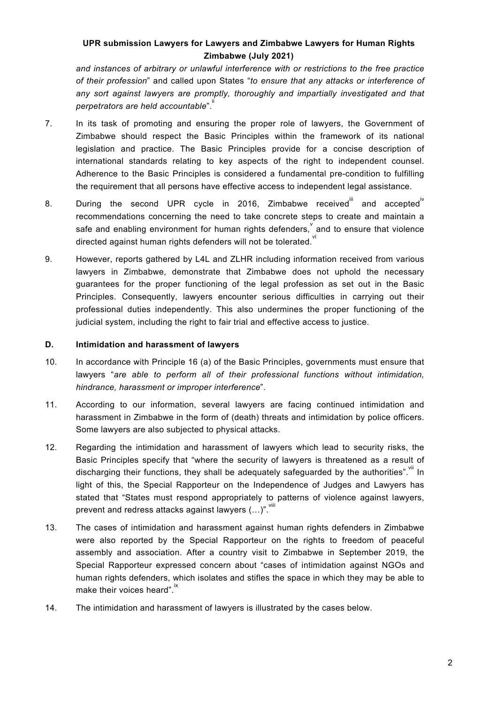*and instances of arbitrary or unlawful interference with or restrictions to the free practice of their profession*" and called upon States "*to ensure that any attacks or interference of any sort against lawyers are promptly, thoroughly and impartially investigated and that perpetrators are held accountable*". ii

- 7. In its task of promoting and ensuring the proper role of lawyers, the Government of Zimbabwe should respect the Basic Principles within the framework of its national legislation and practice. The Basic Principles provide for <sup>a</sup> concise description of international standards relating to key aspects of the right to independent counsel. Adherence to the Basic Principles is considered <sup>a</sup> fundamental pre-condition to fulfilling the requirement that all persons have effective access to independent legal assistance.
- 8. During the second UPR cycle in 2016, Zimbabwe received $^{\mathsf{III}}$  and accepted $^{\mathsf{IV}}$ recommendations concerning the need to take concrete steps to create and maintain <sup>a</sup> safe and enabling environment for human rights defenders, $\check{ }$  and to ensure that violence directed against human rights defenders will not be tolerated. $\overset{\check{}}{ }$
- 9. However, reports gathered by L4L and ZLHR including information received from various lawyers in Zimbabwe, demonstrate that Zimbabwe does not uphold the necessary guarantees for the proper functioning of the legal profession as set out in the Basic Principles. Consequently, lawyers encounter serious difficulties in carrying out their professional duties independently. This also undermines the proper functioning of the judicial system, including the right to fair trial and effective access to justice.

#### **D. Intimidation and harassment of lawyers**

- 10. In accordance with Principle 16 (a) of the Basic Principles, governments must ensure that lawyers "*are able to perform all of their professional functions without intimidation, hindrance, harassment or improper interference*".
- 11. According to our information, several lawyers are facing continued intimidation and harassment in Zimbabwe in the form of (death) threats and intimidation by police officers. Some lawyers are also subjected to physical attacks.
- 12. Regarding the intimidation and harassment of lawyers which lead to security risks, the Basic Principles specify that "where the security of lawyers is threatened as <sup>a</sup> result of discharging their functions, they shall be adequately safeguarded by the authorities".<sup>"ii</sup> In light of this, the Special Rapporteur on the Independence of Judges and Lawyers has stated that "States must respond appropriately to patterns of violence against lawyers, prevent and redress attacks against lawyers  $(...)$ ".  $^{\!\!\!\!\!\!\!\!\!\!\!\!\!\!\!\!\ {}^{\sf{will}} }$
- 13. The cases of intimidation and harassment against human rights defenders in Zimbabwe were also reported by the Special Rapporteur on the rights to freedom of peaceful assembly and association. After <sup>a</sup> country visit to Zimbabwe in September 2019, the Special Rapporteur expressed concern about "cases of intimidation against NGOs and human rights defenders, which isolates and stifles the space in which they may be able to make their voices heard". $\overset{\mathsf{ix}}{ }$
- 14. The intimidation and harassment of lawyers is illustrated by the cases below.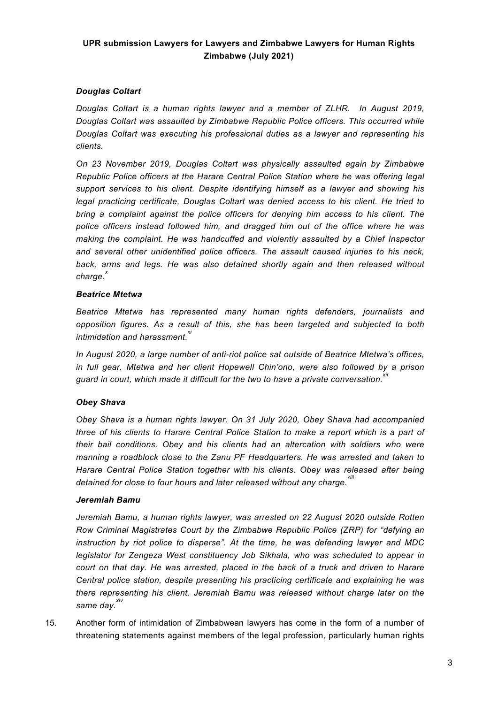## *Douglas Coltart*

*Douglas Coltart is <sup>a</sup> human rights lawyer and <sup>a</sup> member of ZLHR. In August 2019, Douglas Coltart was assaulted by Zimbabwe Republic Police officers. This occurred while Douglas Coltart was executing his professional duties as <sup>a</sup> lawyer and representing his clients.*

*On 23 November 2019, Douglas Coltart was physically assaulted again by Zimbabwe Republic Police officers at the Harare Central Police Station where he was offering legal support services to his client. Despite identifying himself as <sup>a</sup> lawyer and showing his legal practicing certificate, Douglas Coltart was denied access to his client. He tried to bring <sup>a</sup> complaint against the police officers for denying him access to his client. The police officers instead followed him, and dragged him out of the office where he was making the complaint. He was handcuffed and violently assaulted by <sup>a</sup> Chief Inspector and several other unidentified police officers. The assault caused injuries to his neck, back, arms and legs. He was also detained shortly again and then released without charge. x*

#### *Beatrice Mtetwa*

*Beatrice Mtetwa has represented many human rights defenders, journalists and opposition figures. As <sup>a</sup> result of this, she has been targeted and subjected to both intimidation and harassment. xi*

*In August 2020, <sup>a</sup> large number of anti-riot police sat outside of Beatrice Mtetwa'<sup>s</sup> offices, in full gear. Mtetwa and her client Hopewell Chin'ono, were also followed by <sup>a</sup> prison guard in court, which made it difficult for the two to have <sup>a</sup> private conversation. xii*

#### *Obey Shava*

*Obey Shava is <sup>a</sup> human rights lawyer. On 31 July 2020, Obey Shava had accompanied three of his clients to Harare Central Police Station to make <sup>a</sup> report which is <sup>a</sup> part of their bail conditions. Obey and his clients had an altercation with soldiers who were manning <sup>a</sup> roadblock close to the Zanu PF Headquarters. He was arrested and taken to Harare Central Police Station together with his clients. Obey was released after being detained for close to four hours and later released without any charge. xiii*

#### *Jeremiah Bamu*

*Jeremiah Bamu, <sup>a</sup> human rights lawyer, was arrested on 22 August 2020 outside Rotten Row Criminal Magistrates Court by the Zimbabwe Republic Police (ZRP) for "defying an instruction by riot police to disperse". At the time, he was defending lawyer and MDC legislator for Zengeza West constituency Job Sikhala, who was scheduled to appear in court on that day. He was arrested, placed in the back of <sup>a</sup> truck and driven to Harare Central police station, despite presenting his practicing certificate and explaining he was there representing his client. Jeremiah Bamu was released without charge later on the same day. xiv*

15. Another form of intimidation of Zimbabwean lawyers has come in the form of <sup>a</sup> number of threatening statements against members of the legal profession, particularly human rights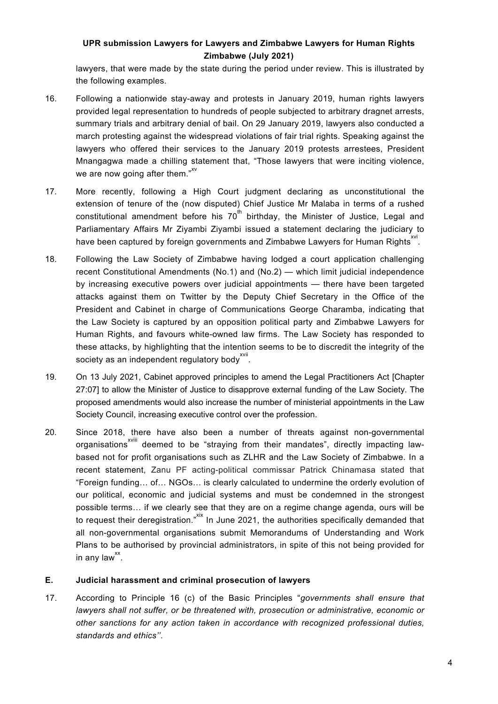lawyers, that were made by the state during the period under review. This is illustrated by the following examples.

- 16. Following <sup>a</sup> nationwide stay-away and protests in January 2019, human rights lawyers provided legal representation to hundreds of people subjected to arbitrary dragnet arrests, summary trials and arbitrary denial of bail. On 29 January 2019, lawyers also conducted <sup>a</sup> march protesting against the widespread violations of fair trial rights. Speaking against the lawyers who offered their services to the January 2019 protests arrestees, President Mnangagwa made <sup>a</sup> chilling statement that, "Those lawyers that were inciting violence, we are now going after them." $^{\rm xv}$
- 17. More recently, following <sup>a</sup> High Court judgment declaring as unconstitutional the extension of tenure of the (now disputed) Chief Justice Mr Malaba in terms of <sup>a</sup> rushed constitutional amendment before his 70 $^{\rm th}$  birthday, the Minister of Justice, Legal and Parliamentary Affairs Mr Ziyambi Ziyambi issued <sup>a</sup> statement declaring the judiciary to have been captured by foreign governments and Zimbabwe Lawyers for Human Rights $^{\rm{XVI}}$ .
- 18. Following the Law Society of Zimbabwe having lodged <sup>a</sup> court application challenging recent Constitutional Amendments (No.1) and (No.2) — which limit judicial independence by increasing executive powers over judicial appointments — there have been targeted attacks against them on Twitter by the Deputy Chief Secretary in the Office of the President and Cabinet in charge of Communications George Charamba, indicating that the Law Society is captured by an opposition political party and Zimbabwe Lawyers for Human Rights, and favours white-owned law firms. The Law Society has responded to these attacks, by highlighting that the intention seems to be to discredit the integrity of the society as an independent regulatory body $^{\mathsf{xvli}}$
- 19. On 13 July 2021, Cabinet approved principles to amend the Legal Practitioners Act [Chapter 27:07] to allow the Minister of Justice to disapprove external funding of the Law Society. The proposed amendments would also increase the number of ministerial appointments in the Law Society Council, increasing executive control over the profession.
- 20. Since 2018, there have also been <sup>a</sup> number of threats against non-governmental organisations<sup>×viii</sup> deemed to be "straying from their mandates", directly impacting lawbased not for profit organisations such as ZLHR and the Law Society of Zimbabwe. In <sup>a</sup> recent statement, Zanu PF acting-political commissar Patrick Chinamasa stated that "Foreign funding… of… NGOs… is clearly calculated to undermine the orderly evolution of our political, economic and judicial systems and must be condemned in the strongest possible terms… if we clearly see that they are on <sup>a</sup> regime change agenda, ours will be to request their deregistration."<sup>XIX</sup> In June 2021, the authorities specifically demanded that all non-governmental organisations submit Memorandums of Understanding and Work Plans to be authorised by provincial administrators, in spite of this not being provided for in any law $^{xx}$ .

## **E. Judicial harassment and criminal prosecution of lawyers**

17. According to Principle 16 (c) of the Basic Principles "*governments shall ensure that lawyers shall not suffer, or be threatened with, prosecution or administrative, economic or other sanctions for any action taken in accordance with recognized professional duties, standards and ethics''*.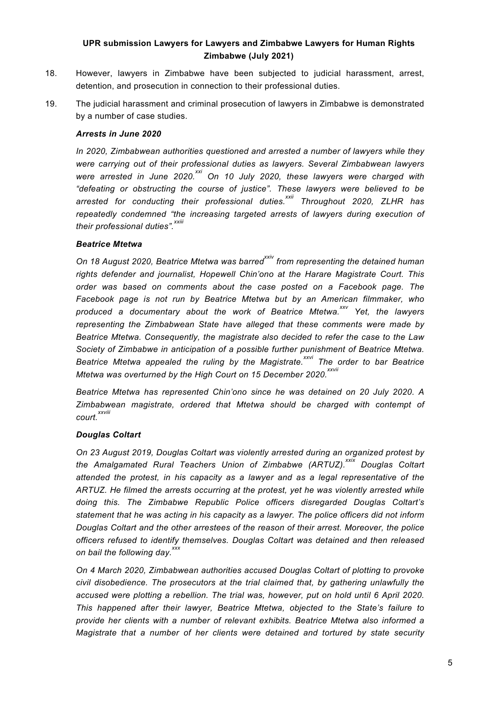- 18. However, lawyers in Zimbabwe have been subjected to judicial harassment, arrest, detention, and prosecution in connection to their professional duties.
- 19. The judicial harassment and criminal prosecution of lawyers in Zimbabwe is demonstrated by <sup>a</sup> number of case studies.

#### *Arrests in June 2020*

*In 2020, Zimbabwean authorities questioned and arrested <sup>a</sup> number of lawyers while they were carrying out of their professional duties as lawyers. Several Zimbabwean lawyers were arrested in June 2020. xxi On 10 July 2020, these lawyers were charged with "defeating or obstructing the course of justice". These lawyers were believed to be arrested for conducting their professional duties. xxii Throughout 2020, ZLHR has repeatedly condemned "the increasing targeted arrests of lawyers during execution of their professional duties". xxiii*

### *Beatrice Mtetwa*

*On 18 August 2020, Beatrice Mtetwa was barred xxiv from representing the detained human rights defender and journalist, Hopewell Chin'ono at the Harare Magistrate Court. This order was based on comments about the case posted on <sup>a</sup> Facebook page. The Facebook page is not run by Beatrice Mtetwa but by an American filmmaker, who produced <sup>a</sup> documentary about the work of Beatrice Mtetwa. xxv Yet, the lawyers representing the Zimbabwean State have alleged that these comments were made by Beatrice Mtetwa. Consequently, the magistrate also decided to refer the case to the Law Society of Zimbabwe in anticipation of <sup>a</sup> possible further punishment of Beatrice Mtetwa. Beatrice Mtetwa appealed the ruling by the Magistrate. xxvi The order to bar Beatrice Mtetwa was overturned by the High Court on 15 December 2020. xxvii*

*Beatrice Mtetwa has represented Chin'ono since he was detained on 20 July 2020. A Zimbabwean magistrate, ordered that Mtetwa should be charged with contempt of court. xxviii*

## *Douglas Coltart*

*On 23 August 2019, Douglas Coltart was violently arrested during an organized protest by the Amalgamated Rural Teachers Union of Zimbabwe (ARTUZ). xxix Douglas Coltart attended the protest, in his capacity as <sup>a</sup> lawyer and as <sup>a</sup> legal representative of the ARTUZ. He filmed the arrests occurring at the protest, yet he was violently arrested while doing this. The Zimbabwe Republic Police officers disregarded Douglas Coltart'<sup>s</sup> statement that he was acting in his capacity as <sup>a</sup> lawyer. The police officers did not inform Douglas Coltart and the other arrestees of the reason of their arrest. Moreover, the police officers refused to identify themselves. Douglas Coltart was detained and then released on bail the following day. xxx*

*On 4 March 2020, Zimbabwean authorities accused Douglas Coltart of plotting to provoke civil disobedience. The prosecutors at the trial claimed that, by gathering unlawfully the accused were plotting <sup>a</sup> rebellion. The trial was, however, put on hold until 6 April 2020. This happened after their lawyer, Beatrice Mtetwa, objected to the State'<sup>s</sup> failure to provide her clients with <sup>a</sup> number of relevant exhibits. Beatrice Mtetwa also informed <sup>a</sup> Magistrate that <sup>a</sup> number of her clients were detained and tortured by state security*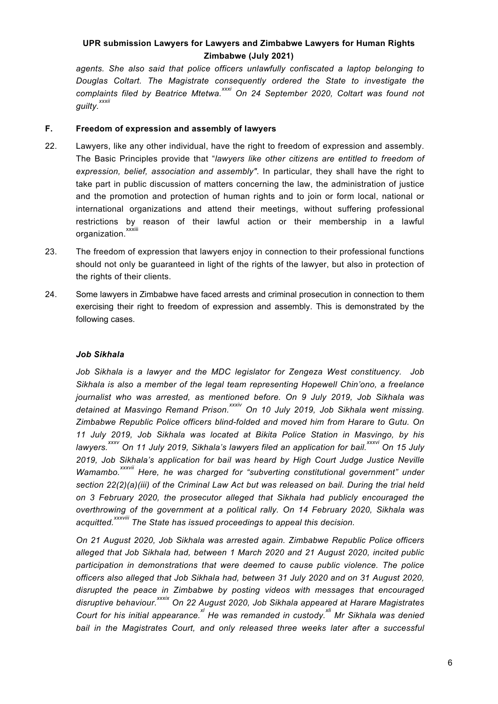*agents. She also said that police officers unlawfully confiscated <sup>a</sup> laptop belonging to Douglas Coltart. The Magistrate consequently ordered the State to investigate the complaints filed by Beatrice Mtetwa. xxxi On 24 September 2020, Coltart was found not guilty. xxxii*

#### **F. Freedom of expression and assembly of lawyers**

- 22. Lawyers, like any other individual, have the right to freedom of expression and assembly. The Basic Principles provide that "*lawyers like other citizens are entitled to freedom of expression, belief, association and assembly"*. In particular, they shall have the right to take part in public discussion of matters concerning the law, the administration of justice and the promotion and protection of human rights and to join or form local, national or international organizations and attend their meetings, without suffering professional restrictions by reason of their lawful action or their membership in <sup>a</sup> lawful organization.<sup>xxxiii</sup>
- 23. The freedom of expression that lawyers enjoy in connection to their professional functions should not only be guaranteed in light of the rights of the lawyer, but also in protection of the rights of their clients.
- 24. Some lawyers in Zimbabwe have faced arrests and criminal prosecution in connection to them exercising their right to freedom of expression and assembly. This is demonstrated by the following cases.

#### *Job Sikhala*

*Job Sikhala is <sup>a</sup> lawyer and the MDC legislator for Zengeza West constituency. Job Sikhala is also <sup>a</sup> member of the legal team representing Hopewell Chin'ono, <sup>a</sup> freelance journalist who was arrested, as mentioned before. On 9 July 2019, Job Sikhala was detained at Masvingo Remand Prison. xxxiv On 10 July 2019, Job Sikhala went missing. Zimbabwe Republic Police officers blind-folded and moved him from Harare to Gutu. On 11 July 2019, Job Sikhala was located at Bikita Police Station in Masvingo, by his* lawyers.<sup>xxxv</sup> On 11 July 2019, Sikhala's lawyers filed an application for bail.<sup>xxxvi</sup> On 15 July *2019, Job Sikhala'<sup>s</sup> application for bail was heard by High Court Judge Justice Neville Wamambo. xxxvii Here, he was charged for "subverting constitutional government" under section 22(2)(a)(iii) of the Criminal Law Act but was released on bail. During the trial held on 3 February 2020, the prosecutor alleged that Sikhala had publicly encouraged the overthrowing of the government at <sup>a</sup> political rally. On 14 February 2020, Sikhala was acquitted. xxxviii The State has issued proceedings to appeal this decision.*

*On 21 August 2020, Job Sikhala was arrested again. Zimbabwe Republic Police officers alleged that Job Sikhala had, between 1 March 2020 and 21 August 2020, incited public participation in demonstrations that were deemed to cause public violence. The police officers also alleged that Job Sikhala had, between 31 July 2020 and on 31 August 2020, disrupted the peace in Zimbabwe by posting videos with messages that encouraged disruptive behaviour. xxxix On 22 August 2020, Job Sikhala appeared at Harare Magistrates Court for his initial appearance. xl He was remanded in custody. xli Mr Sikhala was denied bail in the Magistrates Court, and only released three weeks later after <sup>a</sup> successful*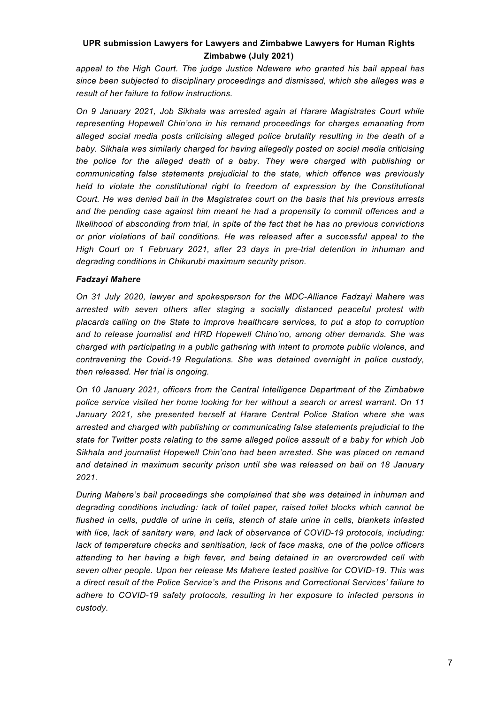*appeal to the High Court. The judge Justice Ndewere who granted his bail appeal has since been subjected to disciplinary proceedings and dismissed, which she alleges was <sup>a</sup> result of her failure to follow instructions.*

*On 9 January 2021, Job Sikhala was arrested again at Harare Magistrates Court while representing Hopewell Chin'ono in his remand proceedings for charges emanating from alleged social media posts criticising alleged police brutality resulting in the death of <sup>a</sup> baby. Sikhala was similarly charged for having allegedly posted on social media criticising the police for the alleged death of <sup>a</sup> baby. They were charged with publishing or communicating false statements prejudicial to the state, which offence was previously held to violate the constitutional right to freedom of expression by the Constitutional Court. He was denied bail in the Magistrates court on the basis that his previous arrests and the pending case against him meant he had <sup>a</sup> propensity to commit offences and <sup>a</sup> likelihood of absconding from trial, in spite of the fact that he has no previous convictions or prior violations of bail conditions. He was released after <sup>a</sup> successful appeal to the High Court on 1 February 2021, after 23 days in pre-trial detention in inhuman and degrading conditions in Chikurubi maximum security prison.*

### *Fadzayi Mahere*

*On 31 July 2020, lawyer and spokesperson for the MDC-Alliance Fadzayi Mahere was arrested with seven others after staging <sup>a</sup> socially distanced peaceful protest with placards calling on the State to improve healthcare services, to put <sup>a</sup> stop to corruption and to release journalist and HRD Hopewell Chino'no, among other demands. She was charged with participating in <sup>a</sup> public gathering with intent to promote public violence, and contravening the Covid-19 Regulations. She was detained overnight in police custody, then released. Her trial is ongoing.*

*On 10 January 2021, officers from the Central Intelligence Department of the Zimbabwe police service visited her home looking for her without <sup>a</sup> search or arrest warrant. On 11 January 2021, she presented herself at Harare Central Police Station where she was arrested and charged with publishing or communicating false statements prejudicial to the state for Twitter posts relating to the same alleged police assault of <sup>a</sup> baby for which Job Sikhala and journalist Hopewell Chin'ono had been arrested. She was placed on remand and detained in maximum security prison until she was released on bail on 18 January 2021.*

*During Mahere'<sup>s</sup> bail proceedings she complained that she was detained in inhuman and degrading conditions including: lack of toilet paper, raised toilet blocks which cannot be flushed in cells, puddle of urine in cells, stench of stale urine in cells, blankets infested with lice, lack of sanitary ware, and lack of observance of COVID-19 protocols, including: lack of temperature checks and sanitisation, lack of face masks, one of the police officers attending to her having <sup>a</sup> high fever, and being detained in an overcrowded cell with seven other people. Upon her release Ms Mahere tested positive for COVID-19. This was a direct result of the Police Service's and the Prisons and Correctional Services' failure to adhere to COVID-19 safety protocols, resulting in her exposure to infected persons in custody.*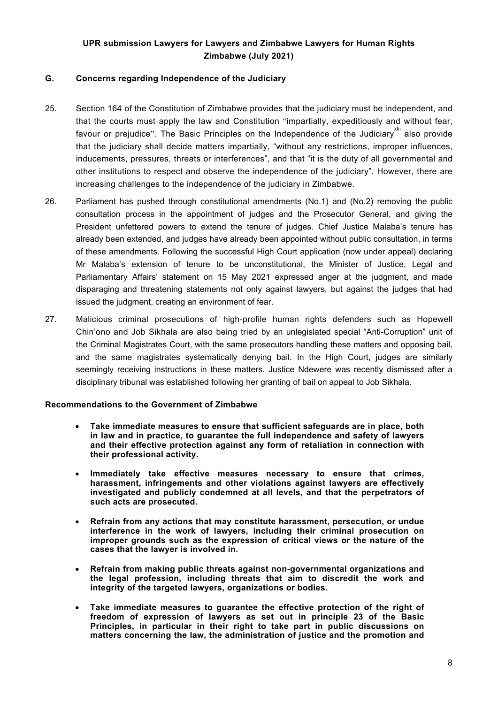#### **G. Concerns regarding Independence of the Judiciary**

- 25. Section 164 of the Constitution of Zimbabwe provides that the judiciary must be independent, and that the courts must apply the law and Constitution "impartially, expeditiously and without fear, favour or prejudice". The Basic Principles on the Independence of the Judiciary<sup>xiii</sup> also provide that the judiciary shall decide matters impartially, "without any restrictions, improper influences, inducements, pressures, threats or interferences", and that "it is the duty of all governmental and other institutions to respect and observe the independence of the judiciary". However, there are increasing challenges to the independence of the judiciary in Zimbabwe.
- 26. Parliament has pushed through constitutional amendments (No.1) and (No.2) removing the public consultation process in the appointment of judges and the Prosecutor General, and giving the President unfettered powers to extend the tenure of judges. Chief Justice Malaba'<sup>s</sup> tenure has already been extended, and judges have already been appointed without public consultation, in terms of these amendments. Following the successful High Court application (now under appeal) declaring Mr Malaba'<sup>s</sup> extension of tenure to be unconstitutional, the Minister of Justice, Legal and Parliamentary Affairs' statement on 15 May 2021 expressed anger at the judgment, and made disparaging and threatening statements not only against lawyers, but against the judges that had issued the judgment, creating an environment of fear.
- 27. Malicious criminal prosecutions of high-profile human rights defenders such as Hopewell Chin'ono and Job Sikhala are also being tried by an unlegislated special "Anti-Corruption" unit of the Criminal Magistrates Court, with the same prosecutors handling these matters and opposing bail, and the same magistrates systematically denying bail. In the High Court, judges are similarly seemingly receiving instructions in these matters. Justice Ndewere was recently dismissed after <sup>a</sup> disciplinary tribunal was established following her granting of bail on appeal to Job Sikhala.

#### **Recommendations to the Government of Zimbabwe**

- c **Take immediate measures to ensure that sufficient safeguards are in place, both in law and in practice, to guarantee the full independence and safety of lawyers and their effective protection against any form of retaliation in connection with their professional activity.**
- $\bullet$  **Immediately take effective measures necessary to ensure that crimes, harassment, infringements and other violations against lawyers are effectively investigated and publicly condemned at all levels, and that the perpetrators of such acts are prosecuted.**
- $\bullet$  **Refrain from any actions that may constitute harassment, persecution, or undue interference in the work of lawyers, including their criminal prosecution on improper grounds such as the expression of critical views or the nature of the cases that the lawyer is involved in.**
- $\bullet$  **Refrain from making public threats against non-governmental organizations and the legal profession, including threats that aim to discredit the work and integrity of the targeted lawyers, organizations or bodies.**
- $\bullet$  **Take immediate measures to guarantee the effective protection of the right of freedom of expression of lawyers as set out in principle 23 of the Basic Principles, in particular in their right to take part in public discussions on matters concerning the law, the administration of justice and the promotion and**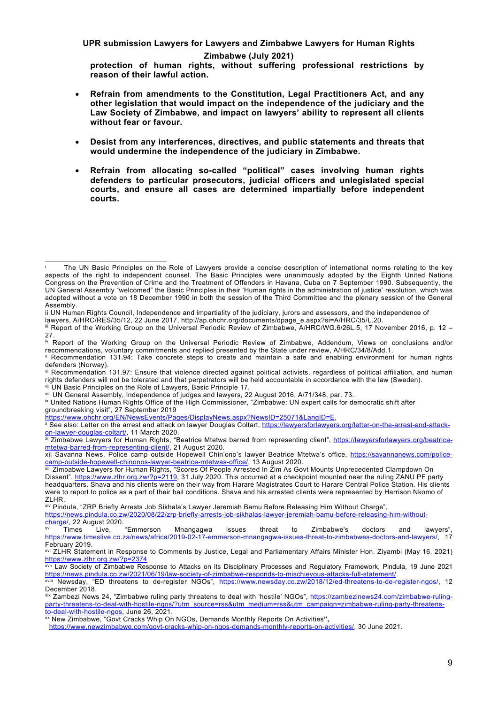**UPR submission Lawyers for Lawyers and Zimbabwe Lawyers for Human Rights**

#### **Zimbabwe (July 2021)**

**protection of human rights, without suffering professional restrictions by reason of their lawful action.**

- c **Refrain from amendments to the Constitution, Legal Practitioners Act, and any other legislation that would impact on the independence of the judiciary and the Law Society of Zimbabwe, and impact on lawyers' ability to represent all clients without fear or favour.**
- c **Desist from any interferences, directives, and public statements and threats that would undermine the independence of the judiciary in Zimbabwe.**
- c **Refrain from allocating so-called "political" cases involving human rights defenders to particular prosecutors, judicial officers and unlegislated special courts, and ensure all cases are determined impartially before independent courts.**

ii UN Human Rights Council, Independence and impartiality of the judiciary, jurors and assessors, and the independence of

lawyers, A/HRC/RES/35/12, 22 June 2017, [http://ap.ohchr.org/documents/dpage\\_e.aspx?si=A/HRC/35/L.20](http://ap.ohchr.org/documents/dpage_e.aspx?si=A/HRC/35/L.20).

iv Report of the Working Group on the Universal Periodic Review of Zimbabwe, Addendum, Views on conclusions and/or recommendations, voluntary commitments and replied presented by the State under review, A/HRC/34/8/Add.1.

vi Recommendation 131.97: Ensure that violence directed against political activists, regardless of political affiliation, and human rights defenders will not be tolerated and that perpetrators will be held accountable in accordance with the law (Sweden). UN Basic Principles on the Role of Lawyers, Basic Principle 17.

viii UN General Assembly, Independence of judges and lawyers, 22 August 2016, A/71/348, par. 73.

ix United Nations Human Rights Office of the High Commissioner, "Zimbabwe: UN expert calls for democratic shift after

groundbreaking visit", 27 September 2019 <https://www.ohchr.org/EN/NewsEvents/Pages/DisplayNews.aspx?NewsID=25071&LangID=E>,

x See also: Letter on the arrest and attack on lawyer Douglas Coltart, [https://lawyersforlawyers.org/letter-on-the-arrest-and-attack](https://lawyersforlawyers.org/letter-on-the-arrest-and-attack-on-lawyer-douglas-coltart/)[on-lawyer-douglas-coltart/](https://lawyersforlawyers.org/letter-on-the-arrest-and-attack-on-lawyer-douglas-coltart/), 11 March 2020.

<sup>xi</sup> Zimbabwe Lawyers for Human Rights, "Beatrice Mtetwa barred from representing client", <u>https://lawyersforlawyers.org/beatrice-</u> [mtetwa-barred-from-representing-client/](https://lawyersforlawyers.org/beatrice-mtetwa-barred-from-representing-client/), 21 August 2020.

xii Savanna News, Police camp outside Hopewell Chin'ono'<sup>s</sup> lawyer Beatrice Mtetwa'<sup>s</sup> office, [https://savannanews.com/police](https://savannanews.com/police-camp-outside-hopewell-chinonos-lawyer-beatrice-mtetwas-office/)[camp-outside-hopewell-chinonos-lawyer-beatrice-mtetwas-office/](https://savannanews.com/police-camp-outside-hopewell-chinonos-lawyer-beatrice-mtetwas-office/), 13 August 2020.

[https://news.pindula.co.zw/2020/08/22/zrp-briefly-arrests-job-sikhalas-lawyer-jeremiah-bamu-before-releasing-him-without](https://news.pindula.co.zw/2020/08/22/zrp-briefly-arrests-job-sikhalas-lawyer-jeremiah-bamu-before-releasing-him-without-charge/)[charge/](https://news.pindula.co.zw/2020/08/22/zrp-briefly-arrests-job-sikhalas-lawyer-jeremiah-bamu-before-releasing-him-without-charge/), 22 August 2020.

<https://www.newzimbabwe.com/govt-cracks-whip-on-ngos-demands-monthly-reports-on-activities/>, 30 June 2021.

i The UN Basic Principles on the Role of Lawyers provide <sup>a</sup> concise description of international norms relating to the key aspects of the right to independent counsel. The Basic Principles were unanimously adopted by the Eighth United Nations Congress on the Prevention of Crime and the Treatment of Offenders in Havana, Cuba on 7 September 1990. Subsequently, the UN General Assembly "welcomed" the Basic Principles in their 'Human rights in the administration of justice' resolution, which was adopted without <sup>a</sup> vote on 18 December 1990 in both the session of the Third Committee and the plenary session of the General Assembly.

iii Report of the Working Group on the Universal Periodic Review of Zimbabwe, A/HRC/WG.6/26L.5, 17 November 2016, p. 12 – 27.

<sup>v</sup> Recommendation 131.94: Take concrete steps to create and maintain <sup>a</sup> safe and enabling environment for human rights defenders (Norway).

xiii Zimbabwe Lawyers for Human Rights, "Scores Of People Arrested In Zim As Govt Mounts Unprecedented Clampdown On Dissent", <https://www.zlhr.org.zw/?p=2119>, 31 July 2020. This occurred at <sup>a</sup> checkpoint mounted near the ruling ZANU PF party headquarters. Shava and his clients were on their way from Harare Magistrates Court to Harare Central Police Station. His clients were to report to police as <sup>a</sup> part of their bail conditions. Shava and his arrested clients were represented by Harrison Nkomo of ZLHR.

xiv Pindula, "ZRP Briefly Arrests Job Sikhala'<sup>s</sup> Lawyer Jeremiah Bamu Before Releasing Him Without Charge",

xv Times Live, "Emmerson Mnangagwa issues threat to Zimbabwe's doctors and lawyers", <https://www.timeslive.co.za/news/africa/2019-02-17-emmerson-mnangagwa-issues-threat-to-zimbabwes-doctors-and-lawyers/>, 17 February 2019.

xvi ZLHR Statement in Response to Comments by Justice, Legal and Parliamentary Affairs Minister Hon. Ziyambi (May 16, 2021) <https://www.zlhr.org.zw/?p=2374>

<sup>&</sup>lt;sup>xvii</sup> Law Society of Zimbabwe Response to Attacks on its Disciplinary Processes and Regulatory Framework, Pindula, 19 June 2021 <https://news.pindula.co.zw/2021/06/19/law-society-of-zimbabwe-responds-to-mischievous-attacks-full-statement/>

<sup>&</sup>lt;sup>xviii</sup> Newsday, "ED threatens to de-register NGOs", <u><https://www.newsday.co.zw/2018/12/ed-threatens-to-de-register-ngos/></u>, 12 December 2018.

<sup>&</sup>lt;sup>xix</sup> Zambezi News 24, "Zimbabwe ruling party threatens to deal with 'hostile' NGOs", <u>https://zambezinews24.com/zimbabwe-ruling</u>[party-threatens-to-deal-with-hostile-ngos/?utm\\_source=rss&utm\\_medium=rss&utm\\_campaign=zimbabwe-ruling-party-threatens](https://zambezinews24.com/zimbabwe-ruling-party-threatens-to-deal-with-hostile-ngos/?utm_source=rss&utm_medium=rss&utm_campaign=zimbabwe-ruling-party-threatens-to-deal-with-hostile-ngos)[to-deal-with-hostile-ngos](https://zambezinews24.com/zimbabwe-ruling-party-threatens-to-deal-with-hostile-ngos/?utm_source=rss&utm_medium=rss&utm_campaign=zimbabwe-ruling-party-threatens-to-deal-with-hostile-ngos), June 26, 2021.

xx New Zimbabwe, "Govt Cracks Whip On NGOs, Demands Monthly Reports On Activities**",**